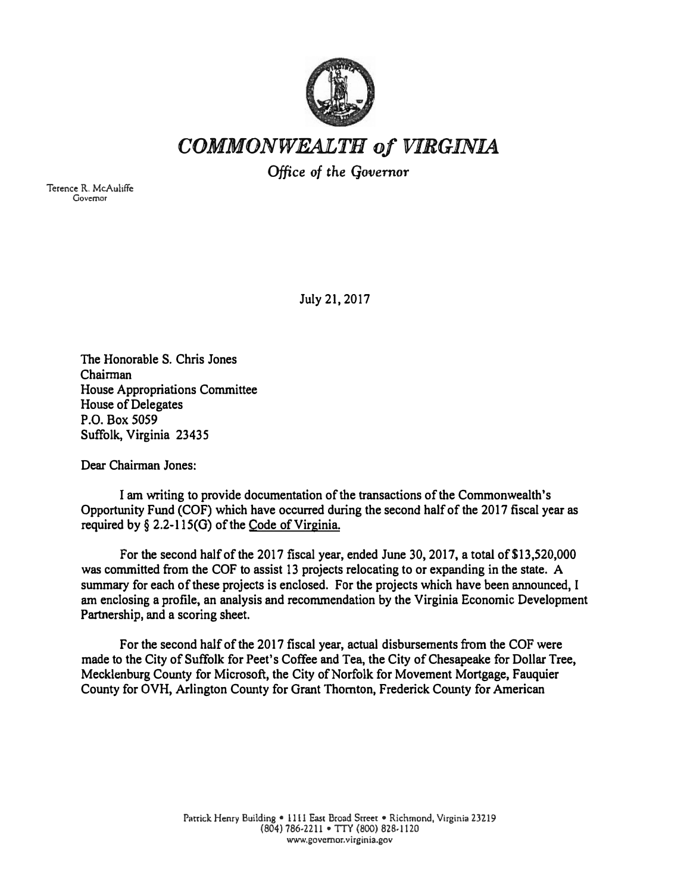

## *COMMONWEALTH of VIRGINIA*

*Office of the* Governor

**Terence R. McAuliffe Governor** 

**July 21, 2017** 

**The Honorable S. Chris Jones**  Chairman **House Appropriations Committee House of Delegates P.O. Box 5059 Suffolk, Virginia 23435** 

Dear Chairman Jones:

**I am writing to provide documentation of the transactions of the Commonwealth's Opportunity Fund (COF) which have occurred during the second half of the 2017 fiscal year as required by§ 2.2-115(0) of the Code of Virginia.** 

**For the second half of the 2017 fiscal year, ended June 30, 2017, a total of \$13,520,000 was committed from the COF to assist 13 projects relocating to or expanding in the state. A summary for each of these projects is enclosed. For the projects which have been announced, I am enclosing a profile, an analysis and recommendation by the Virginia Economic Development Partnership, and a scoring sheet.** 

**For the second half of the 2017 fiscal year, actual disbursements from the COP were made to the City of Suffolk for Peet's Coffee and Tea, the City of Chesapeake for Dollar Tree, Mecklenburg County for Microsoft, the City of Norfolk for Movement Mortgage, Fauquier County for OVH, Arlington County for Grant Thornton, Frederick County for American**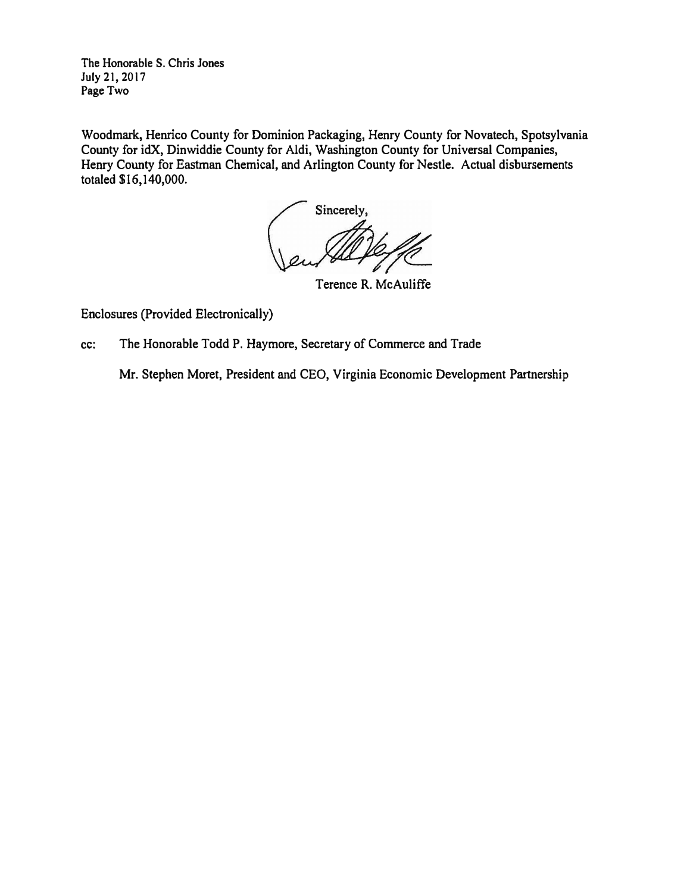**The Honorable S. Chris Jones July21,2017 Page Two** 

**Woodmark, Henrico County for Dominion Packaging, Henry County for Novatech, Spotsylvania County for idX, Dinwiddie County for Aldi, Washington County for Universal Companies, Henry County for Eastman Chemical, and Arlington County for Nestle. Actual disbursements totaled \$16,140,000.** 

Sincerely

**Terence R. McAuliffe** 

**Enclosures (Provided Electronically)** 

**cc: The Honorable Todd P. Haymore, Secretary of Commerce and Trade** 

**Mr. Stephen Moret, President and CEO, Virginia Economic Development Partnership**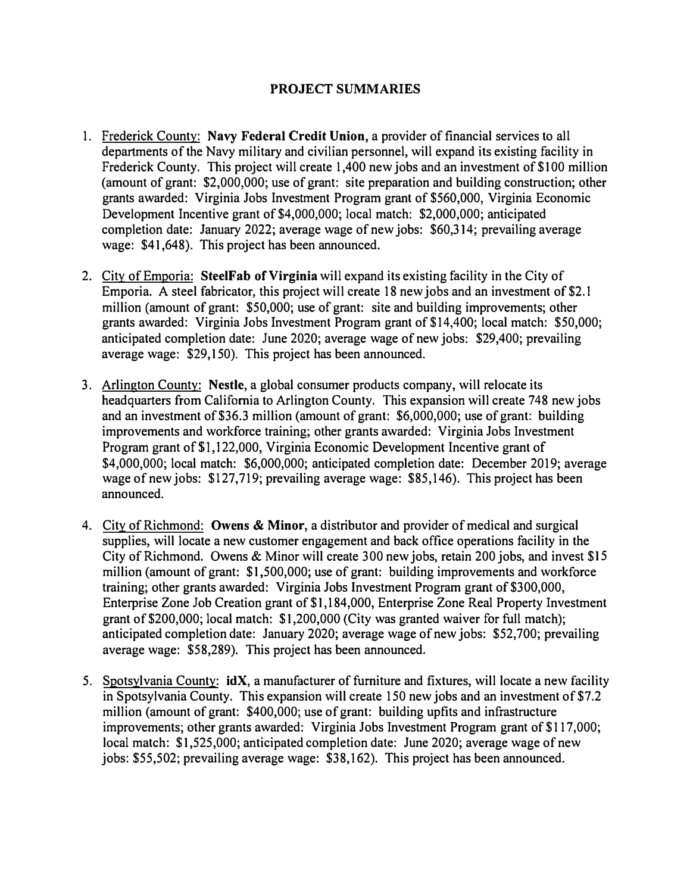## **PROJECT SUMMARIES**

- 1. Frederick County: **Navy Federal Credit Union,** a provider of financial services to all departments of the Navy military and civilian personnel, will expand its existing facility in Frederick County. This project will create 1,400 new jobs and an investment of \$100 million (amount of grant: \$2,000,000; use of grant: site preparation and building construction; other grants awarded: Virginia Jobs Investment Program grant of \$560,000, Virginia Economic Development Incentive grant of \$4,000,000; local match: \$2,000,000; anticipated completion date: January 2022; average wage of new jobs: \$60,314; prevailing average wage: \$41,648). This project has been announced.
- 2. City of Emporia: **SteelFab of Virginia** will expand its existing facility in the City of Emporia. A steel fabricator, this project will create 18 new jobs and an investment of \$2.1 million (amount of grant: \$50,000; use of grant: site and building improvements; other grants awarded: Virginia Jobs Investment Program grant of \$14,400; local match: \$50,000; anticipated completion date: June 2020; average wage of new jobs: \$29,400; prevailing average wage: \$29,150). This project has been announced.
- 3. Arlington County: **Nestle,** a global consumer products company, will relocate its headquarters from California to Arlington County. This expansion will create 748 new jobs and an investment of \$36.3 million (amount of grant: \$6,000,000; use of grant: building improvements and workforce training; other grants awarded: Virginia Jobs Investment Program grant of \$1,122,000, Virginia Economic Development Incentive grant of \$4,000,000; local match: \$6,000,000; anticipated completion date: December 2019; average wage of new jobs: \$127,719; prevailing average wage: \$85,146). This project has been announced.
- 4. City of Richmond: **Owens** & **Minor,** a distributor and provider of medical and surgical supplies, will locate a new customer engagement and back office operations facility in the City of Richmond. Owens & Minor will create 300 new jobs, retain 200 jobs, and invest \$15 million (amount of grant: \$1,500,000; use of grant: building improvements and workforce training; other grants awarded: Virginia Jobs Investment Program grant of \$300,000, Enterprise Zone Job Creation grant of \$1,184,000, Enterprise Zone Real Property Investment grant of \$200,000; local match: \$1,200,000 (City was granted waiver for full match); anticipated completion date: January 2020; average wage of new jobs: \$52,700; prevailing average wage: \$58,289). This project has been announced.
- 5. Spotsylvania County:  $idX$ , a manufacturer of furniture and fixtures, will locate a new facility in Spotsylvania County. This expansion will create 150 new jobs and an investment of \$7.2 million (amount of grant: \$400,000; use of grant: building upfits and infrastructure improvements; other grants awarded: Virginia Jobs Investment Program grant of \$117,000; local match: \$1,525,000; anticipated completion date: June 2020; average wage of new jobs: \$55,502; prevailing average wage: \$38,162). This project has been announced.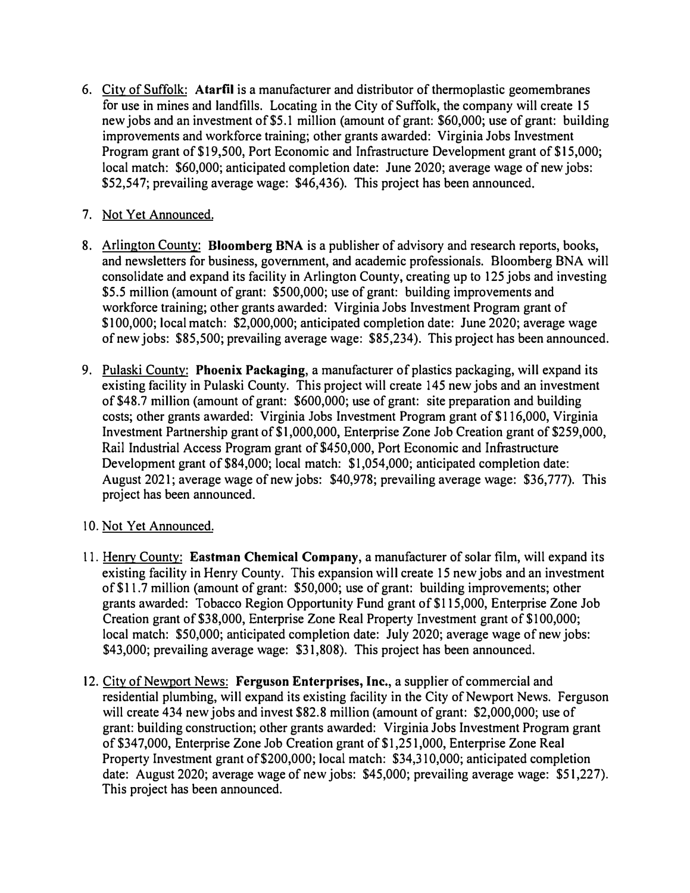- 6. City of Suffolk: **Atarfil** is a manufacturer and distributor of thennoplastic geomembranes for use in mines and landfills. Locating in the City of Suffolk, the company will create 15 new jobs and an investment of \$5.1 million (amount of grant: \$60,000; use of grant: building improvements and workforce training; other grants awarded: Virginia Jobs Investment Program grant of \$19,500, Port Economic and Infrastructure Development grant of \$15,000; local match: \$60,000; anticipated completion date: June 2020; average wage of new jobs: \$52,547; prevailing average wage: \$46,436). This project has been announced.
- 7. Not Yet Announced.
- 8. Arlington County: **Bloomberg BNA** is a publisher of advisory and research reports, books, and newsletters for business, government, and academic professionals. Bloomberg BNA will consolidate and expand its facility in Arlington County, creating up to 125 jobs and investing \$5.5 million (amount of grant: \$500,000; use of grant: building improvements and workforce training; other grants awarded: Virginia Jobs Investment Program grant of \$100,000; local match: \$2,000,000; anticipated completion date: June 2020; average wage of new jobs: \$85,500; prevailing average wage: \$85,234). This project has been announced.
- 9. Pulaski County: **Phoenix Packaging,** a manufacturer of plastics packaging, will expand its existing facility in Pulaski County. This project will create 145 new jobs and an investment of\$48.7 million (amount of grant: \$600,000; use of grant: site preparation and building costs; other grants awarded: Virginia Jobs Investment Program grant of \$116,000, Virginia Investment Partnership grant of \$1,000,000, Enterprise Zone Job Creation grant of \$259,000, Rail Industrial Access Program grant of \$450,000, Port Economic and Infrastructure Development grant of \$84,000; local match: \$1,054,000; anticipated completion date: August 2021; average wage of new jobs: \$40,978; prevailing average wage: \$36,777). This project has been announced.
- 10. Not Yet Announced.
- 11. Henry County: **Eastman Chemical Company,** a manufacturer of solar film, will expand its existing facility in Henry County. This expansion will create 15 new jobs and an investment of \$11. 7 million (amount of grant: \$50,000; use of grant: building improvements; other grants awarded: Tobacco Region Opportunity Fund grant of \$115,000, Enterprise Zone Job Creation grant of \$38,000, Enterprise Zone Real Property Investment grant of \$100,000; local match: \$50,000; anticipated completion date: July 2020; average wage of new jobs: \$43,000; prevailing average wage: \$31,808). This project has been announced.
- 12. City of Newport News: **Ferguson Enterprises, Inc.,** a supplier of commercial and residential plumbing, will expand its existing facility in the City of Newport News. Ferguson will create 434 new jobs and invest \$82.8 million (amount of grant: \$2,000,000; use of grant: building construction; other grants awarded: Virginia Jobs Investment Program grant of\$347,000, Enterprise Zone Job Creation grant of \$1,251,000, Enterprise Zone Real Property Investment grant of \$200,000; local match: \$34,310,000; anticipated completion date: August 2020; average wage of new jobs: \$45,000; prevailing average wage: \$51,227). This project has been announced.